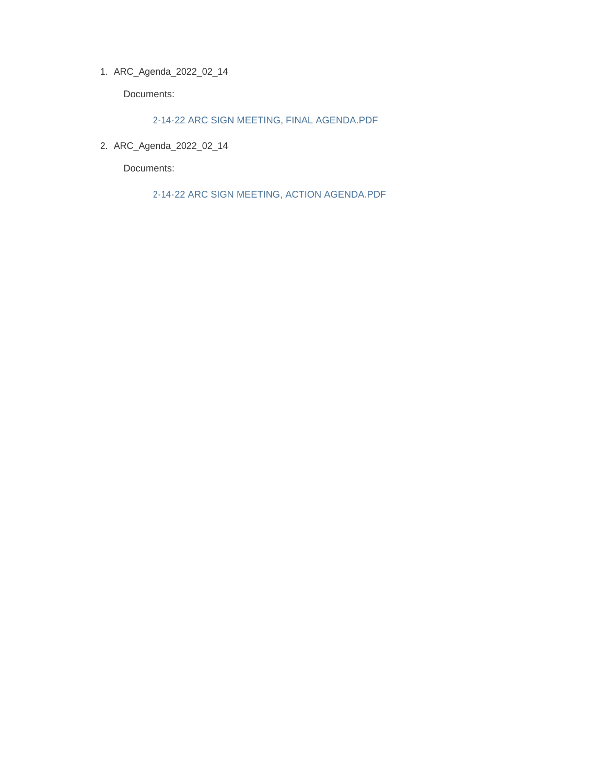ARC\_Agenda\_2022\_02\_14 1.

Documents:

2-14-22 ARC SIGN MEETING, FINAL AGENDA.PDF

ARC\_Agenda\_2022\_02\_14 2.

Documents:

2-14-22 ARC SIGN MEETING, ACTION AGENDA.PDF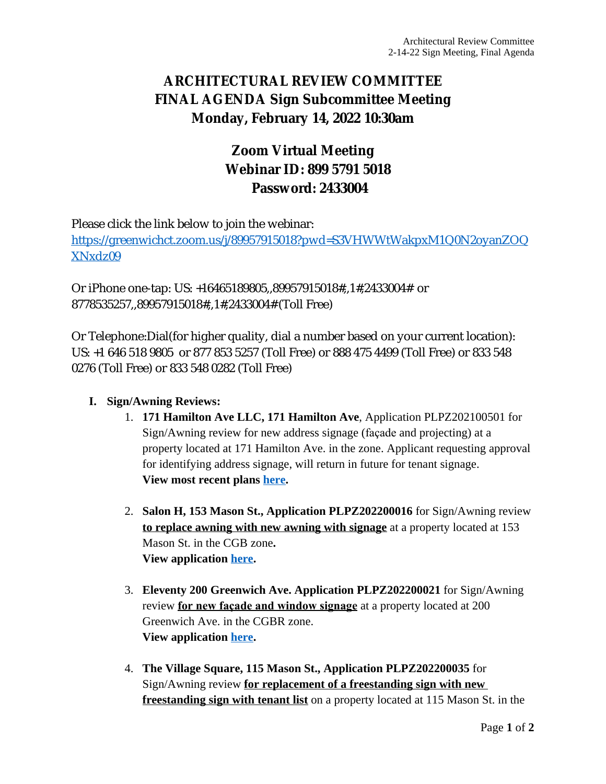## **ARCHITECTURAL REVIEW COMMITTEE FINAL AGENDA Sign Subcommittee Meeting Monday, February 14, 2022 10:30am**

# **Zoom Virtual Meeting Webinar ID: 899 5791 5018 Password: 2433004**

Please click the link below to join the webinar:

[https://greenwichct.zoom.us/j/89957915018?pwd=S3VHWWtWakpxM1Q0N2oyanZOQ](https://greenwichct.zoom.us/j/89957915018?pwd=S3VHWWtWakpxM1Q0N2oyanZOQXNxdz09) XNxdz09

Or iPhone one-tap: US: +16465189805,,89957915018#,,1#,2433004# or 8778535257,,89957915018#,,1#,2433004# (Toll Free)

Or Telephone:Dial(for higher quality, dial a number based on your current location): US: +1 646 518 9805 or 877 853 5257 (Toll Free) or 888 475 4499 (Toll Free) or 833 548 0276 (Toll Free) or 833 548 0282 (Toll Free)

### **I. Sign/Awning Reviews:**

- 1. **171 Hamilton Ave LLC, 171 Hamilton Ave**, Application PLPZ202100501 for Sign/Awning review for new address signage (façade and projecting) at a property located at 171 Hamilton Ave. in the zone. Applicant requesting approval for identifying address signage, will return in future for tenant signage. **View most recent plans [here.](https://www.greenwichct.gov/DocumentCenter/View/28062/Sign-Plan-for-ARC---12-6-21-The-Hamilton-202100501)**
- 2. **Salon H, 153 Mason St., Application PLPZ202200016** for Sign/Awning review **to replace awning with new awning with signage** at a property located at 153 Mason St. in the CGB zone**. View application [here.](https://www.greenwichct.gov/DocumentCenter/View/28061/Salon-H-153-Mason-PLPZ202200016)**
- 3. **Eleventy 200 Greenwich Ave. Application PLPZ202200021** for Sign/Awning review **for new façade and window signage** at a property located at 200 Greenwich Ave. in the CGBR zone. **View application [here.](https://www.greenwichct.gov/DocumentCenter/View/28060/Eleventy-200-Greenwich-Ave-PLPZ202200021)**
- 4. **The Village Square, 115 Mason St., Application PLPZ202200035** for Sign/Awning review **for replacement of a freestanding sign with new freestanding sign with tenant list** on a property located at 115 Mason St. in the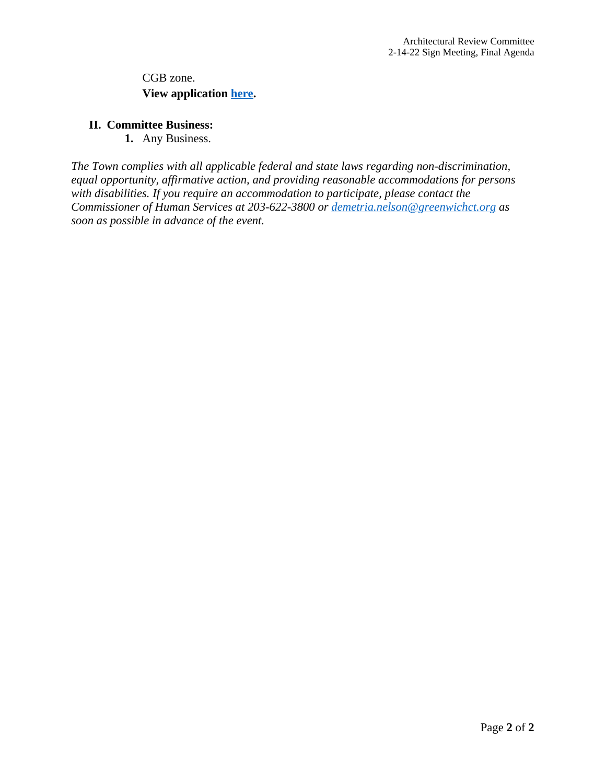CGB zone. **View application [here.](https://www.greenwichct.gov/DocumentCenter/View/28059/115-Mason-St-freestanding-PLPZ202200035)**

#### **II. Committee Business:**

**1.** Any Business.

*The Town complies with all applicable federal and state laws regarding non-discrimination, equal opportunity, affirmative action, and providing reasonable accommodations for persons with disabilities. If you require an accommodation to participate, please contact the Commissioner of Human Services at 203-622-3800 or [demetria.nelson@greenwichct.org](mailto:demetria.nelson@greenwichct.org) as soon as possible in advance of the event.*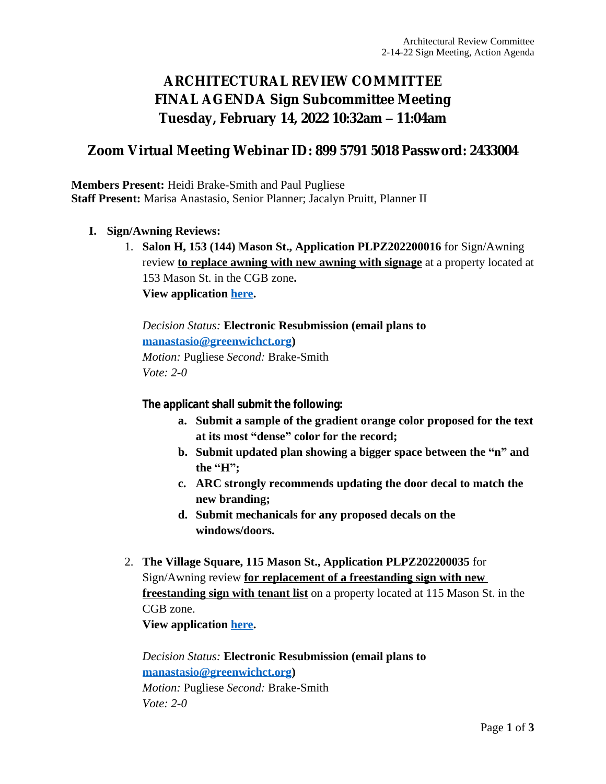# **ARCHITECTURAL REVIEW COMMITTEE FINAL AGENDA Sign Subcommittee Meeting Tuesday, February 14, 2022 10:32am – 11:04am**

### **Zoom Virtual Meeting Webinar ID: 899 5791 5018 Password: 2433004**

**Members Present:** Heidi Brake-Smith and Paul Pugliese **Staff Present:** Marisa Anastasio, Senior Planner; Jacalyn Pruitt, Planner II

- **I. Sign/Awning Reviews:**
	- 1. **Salon H, 153 (144) Mason St., Application PLPZ202200016** for Sign/Awning review **to replace awning with new awning with signage** at a property located at 153 Mason St. in the CGB zone**. View application [here.](https://www.greenwichct.gov/DocumentCenter/View/28061/Salon-H-153-Mason-PLPZ202200016)**

*Decision Status:* **Electronic Resubmission (email plans to [manastasio@greenwichct.org\)](mailto:manastasio@greenwichct.org)** *Motion:* Pugliese *Second:* Brake-Smith *Vote: 2-0*

**The applicant shall submit the following:**

- **a. Submit a sample of the gradient orange color proposed for the text at its most "dense" color for the record;**
- **b. Submit updated plan showing a bigger space between the "n" and the "H";**
- **c. ARC strongly recommends updating the door decal to match the new branding;**
- **d. Submit mechanicals for any proposed decals on the windows/doors.**
- 2. **The Village Square, 115 Mason St., Application PLPZ202200035** for Sign/Awning review **for replacement of a freestanding sign with new freestanding sign with tenant list** on a property located at 115 Mason St. in the CGB zone. **View application [here.](https://www.greenwichct.gov/DocumentCenter/View/28059/115-Mason-St-freestanding-PLPZ202200035)**

*Decision Status:* **Electronic Resubmission (email plans to [manastasio@greenwichct.org\)](mailto:manastasio@greenwichct.org)** *Motion:* Pugliese *Second:* Brake-Smith *Vote: 2-0*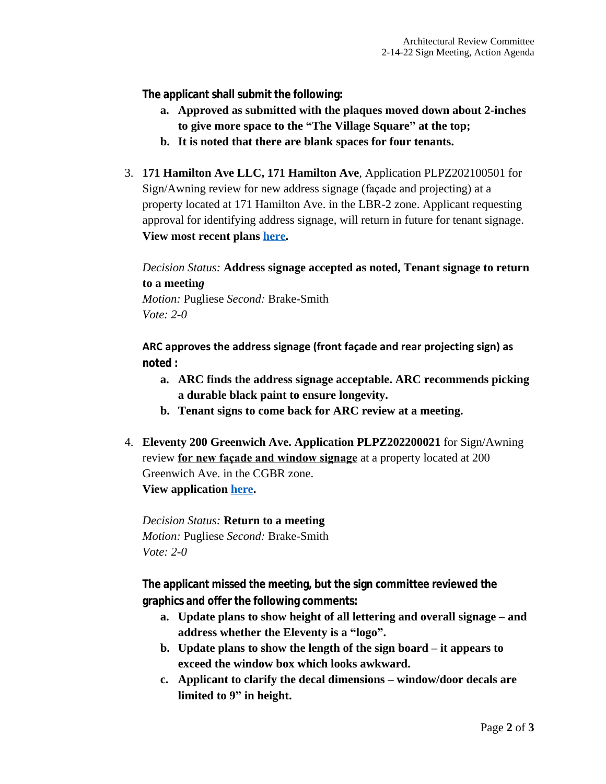**The applicant shall submit the following:**

- **a. Approved as submitted with the plaques moved down about 2-inches to give more space to the "The Village Square" at the top;**
- **b. It is noted that there are blank spaces for four tenants.**
- 3. **171 Hamilton Ave LLC, 171 Hamilton Ave**, Application PLPZ202100501 for Sign/Awning review for new address signage (façade and projecting) at a property located at 171 Hamilton Ave. in the LBR-2 zone. Applicant requesting approval for identifying address signage, will return in future for tenant signage. **View most recent plans [here.](https://www.greenwichct.gov/DocumentCenter/View/28062/Sign-Plan-for-ARC---12-6-21-The-Hamilton-202100501)**

*Decision Status:* **Address signage accepted as noted, Tenant signage to return to a meetin***g*

*Motion:* Pugliese *Second:* Brake-Smith *Vote: 2-0*

**ARC approves the address signage (front façade and rear projecting sign) as noted :**

- **a. ARC finds the address signage acceptable. ARC recommends picking a durable black paint to ensure longevity.**
- **b. Tenant signs to come back for ARC review at a meeting.**
- 4. **Eleventy 200 Greenwich Ave. Application PLPZ202200021** for Sign/Awning review **for new façade and window signage** at a property located at 200 Greenwich Ave. in the CGBR zone. **View application [here.](https://www.greenwichct.gov/DocumentCenter/View/28060/Eleventy-200-Greenwich-Ave-PLPZ202200021)**

*Decision Status:* **Return to a meeting** *Motion:* Pugliese *Second:* Brake-Smith *Vote: 2-0*

**The applicant missed the meeting, but the sign committee reviewed the graphics and offer the following comments:**

- **a. Update plans to show height of all lettering and overall signage – and address whether the Eleventy is a "logo".**
- **b. Update plans to show the length of the sign board – it appears to exceed the window box which looks awkward.**
- **c. Applicant to clarify the decal dimensions – window/door decals are limited to 9" in height.**